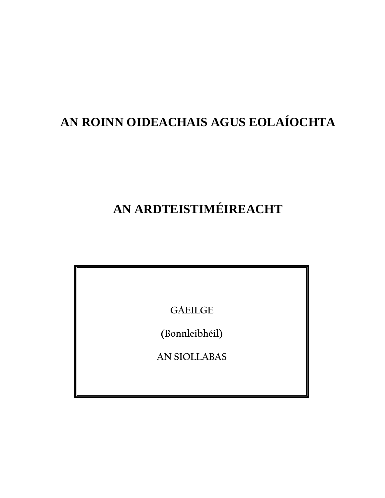## **AN ROINN OIDEACHAIS AGUS EOLAÍOCHTA**

# **AN ARDTEISTIMÉIREACHT**

**GAEILGE** 

**(Bonnleibhéil)** 

**AN SIOLLABAS**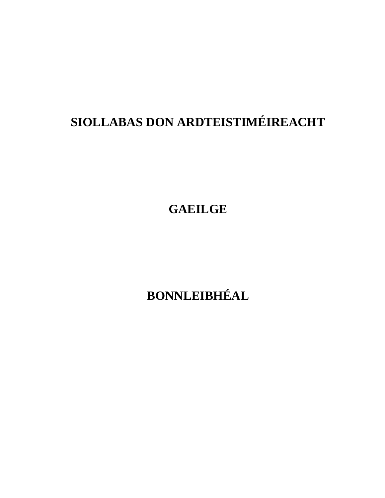# **SIOLLABAS DON ARDTEISTIMÉIREACHT**

**GAEILGE** 

**BONNLEIBHÉAL**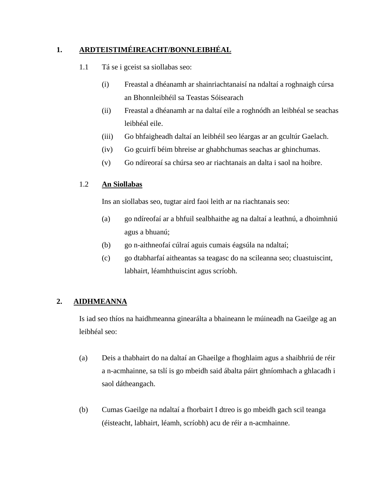#### **1. ARDTEISTIMÉIREACHT/BONNLEIBHÉAL**

- 1.1 Tá se i gceist sa siollabas seo:
	- (i) Freastal a dhéanamh ar shainriachtanaisí na ndaltaí a roghnaigh cúrsa an Bhonnleibhéil sa Teastas Sóisearach
	- (ii) Freastal a dhéanamh ar na daltaí eile a roghnódh an leibhéal se seachas leibhéal eile.
	- (iii) Go bhfaigheadh daltaí an leibhéil seo léargas ar an gcultúr Gaelach.
	- (iv) Go gcuirfí béim bhreise ar ghabhchumas seachas ar ghinchumas.
	- (v) Go ndíreoraí sa chúrsa seo ar riachtanais an dalta i saol na hoibre.

#### 1.2 **An Siollabas**

Ins an siollabas seo, tugtar aird faoi leith ar na riachtanais seo:

- (a) go ndíreofaí ar a bhfuil sealbhaithe ag na daltaí a leathnú, a dhoimhniú agus a bhuanú;
- (b) go n-aithneofaí cúlraí aguis cumais éagsúla na ndaltaí;
- (c) go dtabharfaí aitheantas sa teagasc do na scileanna seo; cluastuiscint, labhairt, léamhthuiscint agus scríobh.

#### **2. AIDHMEANNA**

Is iad seo thíos na haidhmeanna ginearálta a bhaineann le múineadh na Gaeilge ag an leibhéal seo:

- (a) Deis a thabhairt do na daltaí an Ghaeilge a fhoghlaim agus a shaibhriú de réir a n-acmhainne, sa tslí is go mbeidh said ábalta páirt ghníomhach a ghlacadh i saol dátheangach.
- (b) Cumas Gaeilge na ndaltaí a fhorbairt I dtreo is go mbeidh gach scil teanga (éisteacht, labhairt, léamh, scríobh) acu de réir a n-acmhainne.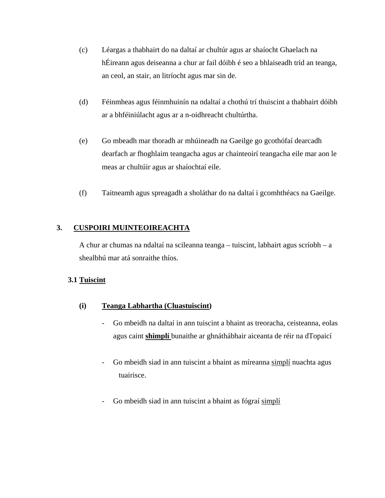- (c) Léargas a thabhairt do na daltaí ar chultúr agus ar shaíocht Ghaelach na hÉireann agus deiseanna a chur ar fail dóibh é seo a bhlaiseadh tríd an teanga, an ceol, an stair, an litríocht agus mar sin de.
- (d) Féinmheas agus féinmhuinín na ndaltaí a chothú trí thuiscint a thabhairt dóibh ar a bhféiniúlacht agus ar a n-oidhreacht chultúrtha.
- (e) Go mbeadh mar thoradh ar mhúineadh na Gaeilge go gcothófaí dearcadh dearfach ar fhoghlaim teangacha agus ar chainteoirí teangacha eile mar aon le meas ar chultúir agus ar shaíochtaí eile.
- (f) Taitneamh agus spreagadh a sholáthar do na daltaí i gcomhthéacs na Gaeilge.

#### **3. CUSPOIRI MUINTEOIREACHTA**

A chur ar chumas na ndaltaí na scileanna teanga – tuiscint, labhairt agus scríobh – a shealbhú mar atá sonraithe thíos.

#### **3.1 Tuiscint**

#### **(i) Teanga Labhartha (Cluastuiscint)**

- Go mbeidh na daltaí in ann tuiscint a bhaint as treoracha, ceisteanna, eolas agus caint **shimplí** bunaithe ar ghnáthábhair aiceanta de réir na dTopaicí
- Go mbeidh siad in ann tuiscint a bhaint as míreanna simplí nuachta agus tuairisce.
- Go mbeidh siad in ann tuiscint a bhaint as fógraí simplí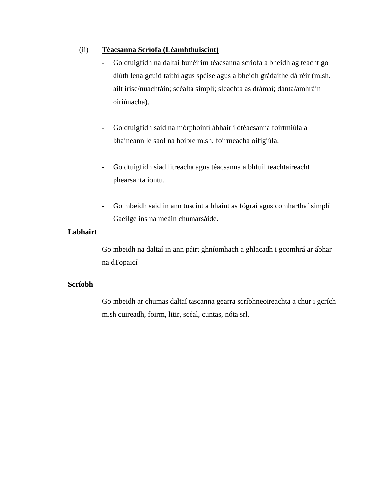#### (ii) **Téacsanna Scríofa (Léamhthuiscint)**

- Go dtuigfidh na daltaí bunéirim téacsanna scríofa a bheidh ag teacht go dlúth lena gcuid taithí agus spéise agus a bheidh grádaithe dá réir (m.sh. ailt irise/nuachtáin; scéalta simplí; sleachta as drámaí; dánta/amhráin oiriúnacha).
- Go dtuigfidh said na mórphointí ábhair i dtéacsanna foirtmiúla a bhaineann le saol na hoibre m.sh. foirmeacha oifigiúla.
- Go dtuigfidh siad litreacha agus téacsanna a bhfuil teachtaireacht phearsanta iontu.
- Go mbeidh said in ann tuscint a bhaint as fógraí agus comharthaí simplí Gaeilge ins na meáin chumarsáide.

#### **Labhairt**

Go mbeidh na daltaí in ann páirt ghníomhach a ghlacadh i gcomhrá ar ábhar na dTopaicí

#### **Scríobh**

Go mbeidh ar chumas daltaí tascanna gearra scríbhneoireachta a chur i gcrích m.sh cuireadh, foirm, litir, scéal, cuntas, nóta srl.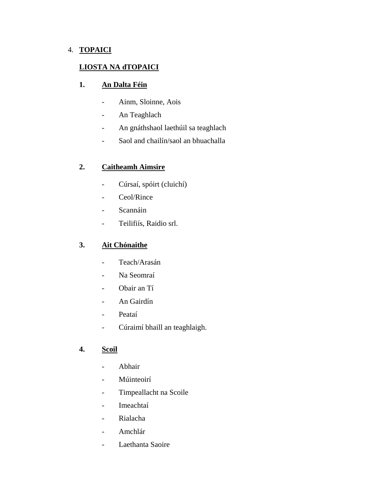#### 4. **TOPAICI**

#### **LIOSTA NA dTOPAICI**

#### **1. An Dalta Féin**

- Ainm, Sloinne, Aois
- An Teaghlach
- An gnáthshaol laethúil sa teaghlach
- Saol and chailín/saol an bhuachalla

#### **2. Caitheamh Aimsire**

- Cúrsaí, spóirt (cluichí)
- Ceol/Rince
- Scannáin
- Teilifiís, Raidio srl.

#### **3. Ait Chónaithe**

- Teach/Arasán
- Na Seomraí
- Obair an Tí
- An Gairdín
- Peataí
- Cúraimí bhaill an teaghlaigh.

#### **4. Scoil**

- Abhair
- Múinteoirí
- Timpeallacht na Scoile
- Imeachtaí
- Rialacha
- Amchlár
- Laethanta Saoire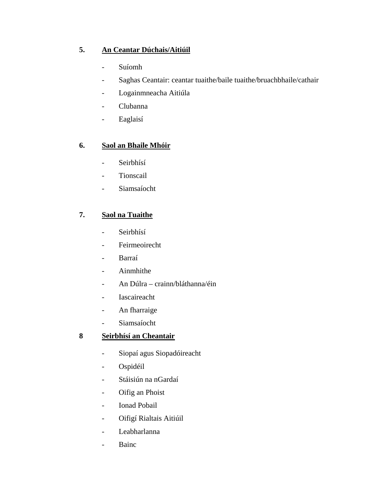### **5. An Ceantar Dúchais/Aitiúil**

- Suíomh
- Saghas Ceantair: ceantar tuaithe/baile tuaithe/bruachbhaile/cathair
- Logainmneacha Aitiúla
- Clubanna
- Eaglaisí

#### **6. Saol an Bhaile Mhóir**

- Seirbhísí
- Tionscail
- Siamsaíocht

#### **7. Saol na Tuaithe**

- Seirbhísí
- Feirmeoirecht
- Barraí
- Ainmhithe
- An Dúlra crainn/bláthanna/éin
- Iascaireacht
- An fharraige
- Siamsaíocht

### **8 Seirbhísí an Cheantair**

- Siopaí agus Siopadóireacht
- Ospidéil
- Stáisiún na nGardaí
- Oifig an Phoist
- Ionad Pobail
- Oifigí Rialtais Aitiúil
- Leabharlanna
- Bainc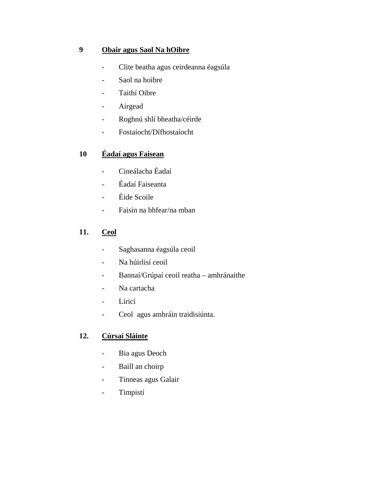#### **9 Obair agus Saol Na hOibre**

- Clite beatha agus ceirdeanna éagsúla
- Saol na hoibre
- Taithí Oibre
- Airgead
- Roghnú shlí bheatha/céirde
- Fostaíocht/Dífhostaíocht

#### **10 Éadaí agus Faisean**

- Cineálacha Éadaí
- Éadaí Faiseanta
- Éide Scoile
- Faisin na bhfear/na mban

#### **11. Ceol**

- Saghasanna éagsúla ceoil
- Na húirlisí ceoil
- Bannaí/Grúpaí ceoil reatha amhránaithe
- Na cartacha
- Liricí
- Ceol agus amhráin traidisiúnta.

#### **12. Cúrsaí Sláinte**

- Bia agus Deoch
- Baill an choirp
- Tinneas agus Galair
- Timpistí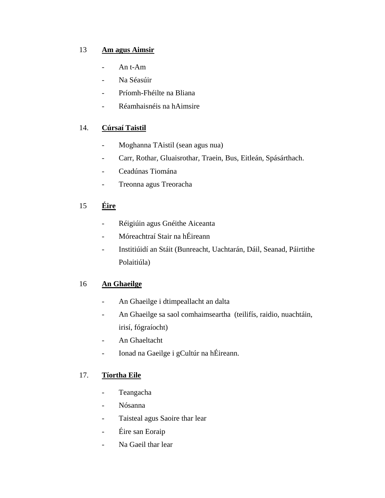#### 13 **Am agus Aimsir**

- An t-Am
- Na Séasúir
- Príomh-Fhéilte na Bliana
- Réamhaisnéis na hAimsire

### 14. **Cúrsaí Taistil**

- Moghanna TAistil (sean agus nua)
- Carr, Rothar, Gluaisrothar, Traein, Bus, Eitleán, Spásárthach.
- Ceadúnas Tiomána
- Treonna agus Treoracha

### 15 **Éire**

- Réigiúin agus Gnéithe Aiceanta
- Móreachtraí Stair na hÉireann
- Institiúidí an Stáit (Bunreacht, Uachtarán, Dáil, Seanad, Páirtithe Polaitiúla)

#### 16 **An Ghaeilge**

- An Ghaeilge i dtimpeallacht an dalta
- An Ghaeilge sa saol comhaimseartha (teilifís, raidio, nuachtáin, irisí, fógraíocht)
- An Ghaeltacht
- Ionad na Gaeilge i gCultúr na hÉireann.

#### 17. **Tíortha Eile**

- Teangacha
- Nósanna
- Taisteal agus Saoire thar lear
- Éire san Eoraip
- Na Gaeil thar lear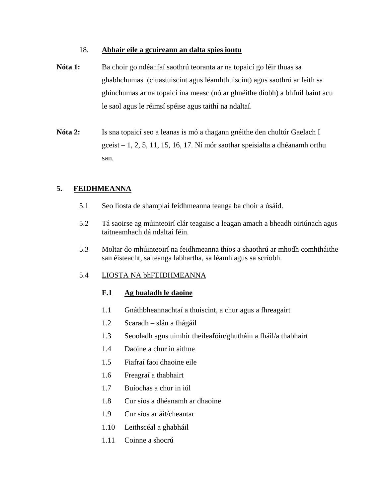#### 18. **Abhair eile a gcuireann an dalta spies iontu**

- **Nóta 1:** Ba choir go ndéanfaí saothrú teoranta ar na topaicí go léir thuas sa ghabhchumas (cluastuiscint agus léamhthuiscint) agus saothrú ar leith sa ghinchumas ar na topaicí ina measc (nó ar ghnéithe díobh) a bhfuil baint acu le saol agus le réimsí spéise agus taithí na ndaltaí.
- **Nóta 2:** Is sna topaicí seo a leanas is mó a thagann gnéithe den chultúr Gaelach I  $\gamma$  gceist – 1, 2, 5, 11, 15, 16, 17. Ní mór saothar speisialta a dhéanamh orthu san.

#### **5. FEIDHMEANNA**

- 5.1 Seo liosta de shamplaí feidhmeanna teanga ba choir a úsáid.
- 5.2 Tá saoirse ag múinteoirí clár teagaisc a leagan amach a bheadh oiriúnach agus taitneamhach dá ndaltaí féin.
- 5.3 Moltar do mhúinteoirí na feidhmeanna thíos a shaothrú ar mhodh comhtháithe san éisteacht, sa teanga labhartha, sa léamh agus sa scríobh.

#### 5.4 LIOSTA NA bhFEIDHMEANNA

#### **F.1 Ag bualadh le daoine**

- 1.1 Gnáthbheannachtaí a thuiscint, a chur agus a fhreagairt
- 1.2 Scaradh slán a fhágáil
- 1.3 Seooladh agus uimhir theileafóin/ghutháin a fháil/a thabhairt
- 1.4 Daoine a chur in aithne
- 1.5 Fiafraí faoi dhaoine eile
- 1.6 Freagraí a thabhairt
- 1.7 Buíochas a chur in iúl
- 1.8 Cur síos a dhéanamh ar dhaoine
- 1.9 Cur síos ar áit/cheantar
- 1.10 Leithscéal a ghabháil
- 1.11 Coinne a shocrú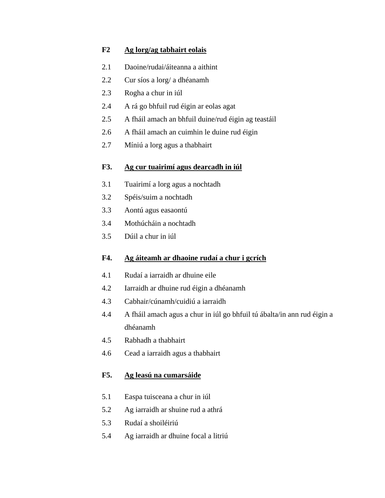#### **F2 Ag lorg/ag tabhairt eolais**

- 2.1 Daoine/rudai/áiteanna a aithint
- 2.2 Cur síos a lorg/ a dhéanamh
- 2.3 Rogha a chur in iúl
- 2.4 A rá go bhfuil rud éigin ar eolas agat
- 2.5 A fháil amach an bhfuil duine/rud éigin ag teastáil
- 2.6 A fháil amach an cuimhin le duine rud éigin
- 2.7 Míniú a lorg agus a thabhairt

#### **F3. Ag cur tuairimí agus dearcadh in iúl**

- 3.1 Tuairimí a lorg agus a nochtadh
- 3.2 Spéis/suim a nochtadh
- 3.3 Aontú agus easaontú
- 3.4 Mothúcháin a nochtadh
- 3.5 Dúil a chur in iúl

#### **F4. Ag áiteamh ar dhaoine rudaí a chur i gcrích**

- 4.1 Rudaí a iarraidh ar dhuine eile
- 4.2 Iarraidh ar dhuine rud éigin a dhéanamh
- 4.3 Cabhair/cúnamh/cuidiú a iarraidh
- 4.4 A fháil amach agus a chur in iúl go bhfuil tú ábalta/in ann rud éigin a dhéanamh
- 4.5 Rabhadh a thabhairt
- 4.6 Cead a iarraidh agus a thabhairt

#### **F5. Ag leasú na cumarsáide**

- 5.1 Easpa tuisceana a chur in iúl
- 5.2 Ag iarraidh ar shuine rud a athrá
- 5.3 Rudaí a shoiléiriú
- 5.4 Ag iarraidh ar dhuine focal a litriú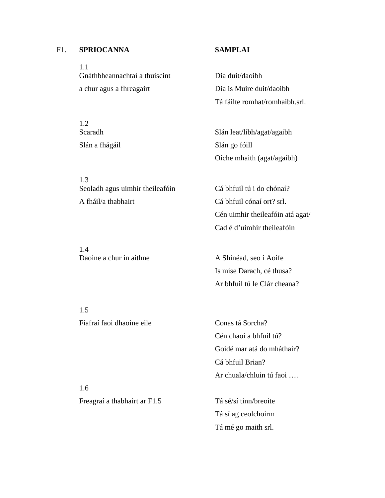#### F1. **SPRIOCANNA SAMPLAI**

 1.1 Gnáthbheannachtaí a thuiscint Dia duit/daoibh a chur agus a fhreagairt Dia is Muire duit/daoibh

 1.2 Slán a fhágáil Slán go fóill

 1.3 Seoladh agus uimhir theileafóin Cá bhfuil tú i do chónaí? A fháil/a thabhairt Cá bhfuil cónaí ort? srl.

 1.4 Daoine a chur in aithne A Shinéad, seo í Aoife

Tá fáilte romhat/romhaibh.srl.

Scaradh Scaradh Slán leat/libh/agat/agaibh Oíche mhaith (agat/agaibh)

> Cén uimhir theileafóin atá agat/ Cad é d'uimhir theileafóin

 Is mise Darach, cé thusa? Ar bhfuil tú le Clár cheana?

 1.5 Fiafraí faoi dhaoine eile Conas tá Sorcha?

 Cén chaoi a bhfuil tú? Goidé mar atá do mháthair? Cá bhfuil Brian? Ar chuala/chluin tú faoi ….

Freagraí a thabhairt ar F1.5 Tá sé/sí tinn/breoite

1.6

 Tá sí ag ceolchoirm Tá mé go maith srl.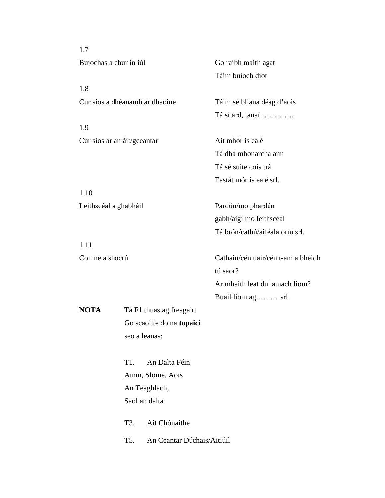1.7 Buíochas a chur in iúl Go raibh maith agat Táim buíoch díot 1.8 Cur síos a dhéanamh ar dhaoine Táim sé bliana déag d'aois Tá sí ard, tanaí …………. 1.9 Cur síos ar an áit/gceantar Ait mhór is ea é Tá dhá mhonarcha ann Tá sé suite cois trá Eastát mór is ea é srl. 1.10 Leithscéal a ghabháil Pardún/mo phardún gabh/aigí mo leithscéal Tá brón/cathú/aiféala orm srl. 1.11 Coinne a shocrú Cathain/cén uair/cén t-am a bheidh tú saor? Ar mhaith leat dul amach liom? Buail liom ag ………srl. **NOTA** Tá F1 thuas ag freagairt Go scaoilte do na **topaici**  seo a leanas: T1. An Dalta Féin Ainm, Sloine, Aois An Teaghlach, Saol an dalta T3. Ait Chónaithe T5. An Ceantar Dúchais/Aitiúil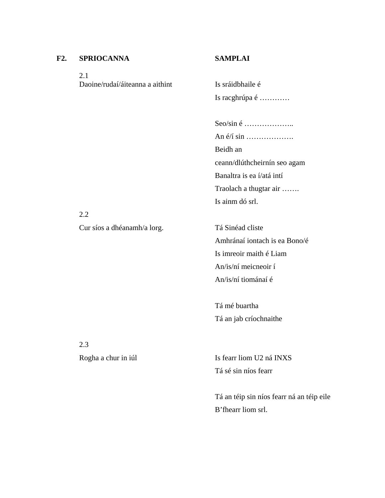#### **F2. SPRIOCANNA SAMPLAI**

 2.1 Daoine/rudaí/áiteanna a aithint Is sráidbhaile é

Is racghrúpa é …………

 Seo/sin é ……………….. An é/í sin ………………. Beidh an ceann/dlúthcheirnín seo agam Banaltra is ea í/atá intí Traolach a thugtar air ……. Is ainm dó srl.

2.2

Cur síos a dhéanamh/a lorg. Tá Sinéad cliste

 Amhránaí iontach is ea Bono/é Is imreoir maith é Liam An/is/ní meicneoir í An/is/ní tiománaí é

 Tá mé buartha Tá an jab críochnaithe

2.3

Rogha a chur in iúl Is fearr liom U2 ná INXS Tá sé sin níos fearr

> Tá an téip sin níos fearr ná an téip eile B'fhearr liom srl.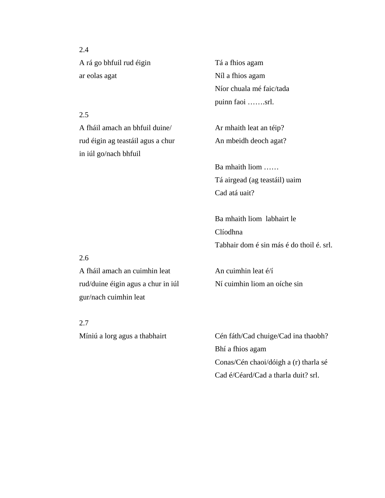2.4 A rá go bhfuil rud éigin Tá a fhios agam ar eolas agat Níl a fhios agam

#### 2.5

 A fháil amach an bhfuil duine/ Ar mhaith leat an téip? rud éigin ag teastáil agus a chur An mbeidh deoch agat? in iúl go/nach bhfuil

 Níor chuala mé faic/tada puinn faoi …….srl.

 Ba mhaith liom …… Tá airgead (ag teastáil) uaim Cad atá uait?

 Ba mhaith liom labhairt le Clíodhna Tabhair dom é sin más é do thoil é. srl.

#### 2.6

A fháil amach an cuimhin leat  $\frac{1}{4}$  An cuimhin leat  $\frac{e}{i}$ rud/duine éigin agus a chur in iúl Ní cuimhin liom an oíche sin gur/nach cuimhin leat

2.7

Míniú a lorg agus a thabhairt Cén fáth/Cad chuige/Cad ina thaobh? Bhí a fhios agam Conas/Cén chaoi/dóigh a (r) tharla sé Cad é/Céard/Cad a tharla duit? srl.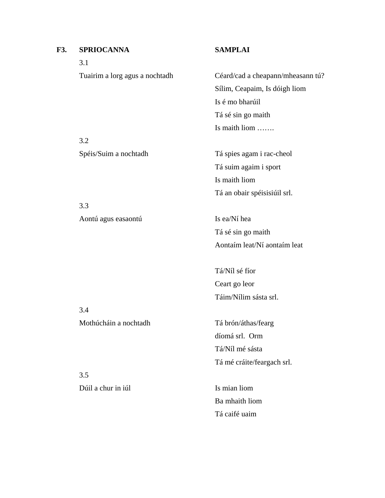## **F3. SPRIOCANNA SAMPLAI**  3.1 Tuairim a lorg agus a nochtadh Céard/cad a cheapann/mheasann tú? Sílim, Ceapaim, Is dóigh liom Is é mo bharúil Tá sé sin go maith Is maith liom ……. 3.2 Spéis/Suim a nochtadh Tá spies agam i rac-cheol Tá suim agaim i sport Is maith liom Tá an obair spéisisiúil srl. 3.3 Aontú agus easaontú Is ea/Ní hea Tá sé sin go maith Aontaím leat/Ní aontaím leat Tá/Níl sé fíor Ceart go leor Táim/Nílim sásta srl. 3.4 Mothúcháin a nochtadh Tá brón/áthas/fearg díomá srl. Orm Tá/Níl mé sásta Tá mé cráite/feargach srl. 3.5 Dúil a chur in iúl Is mian liom Ba mhaith liom Tá caifé uaim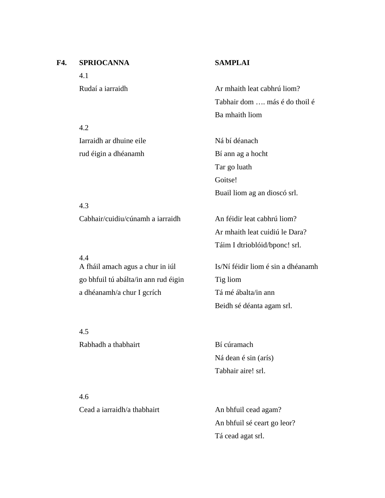## **F4. SPRIOCANNA SAMPLAI**

4.2

4.3

4.4

4.1

Rudaí a iarraidh Ar mhaith leat cabhrú liom? Tabhair dom …. más é do thoil é Ba mhaith liom

Iarraidh ar dhuine eile Ná bí déanach rud éigin a dhéanamh Bí ann ag a hocht Tar go luath Goitse! Buail liom ag an dioscó srl.

Cabhair/cuidiu/cúnamh a iarraidh An féidir leat cabhrú liom? Ar mhaith leat cuidiú le Dara? Táim I dtrioblóid/bponc! srl.

 A fháil amach agus a chur in iúl Is/Ní féidir liom é sin a dhéanamh go bhfuil tú abálta/in ann rud éigin Tig liom a dhéanamh/a chur I gcrích Tá mé ábalta/in ann Beidh sé déanta agam srl.

 4.5 Rabhadh a thabhairt Bí cúramach

 Ná dean é sin (arís) Tabhair aire! srl.

 4.6 Cead a iarraidh/a thabhairt An bhfuil cead agam?

 An bhfuil sé ceart go leor? Tá cead agat srl.